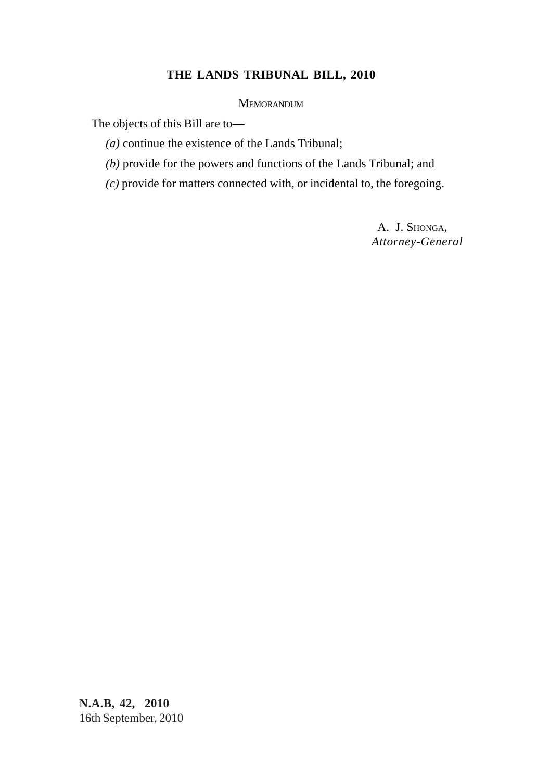# **THE LANDS TRIBUNAL BILL, 2010**

**MEMORANDUM** 

The objects of this Bill are to—

*(a)* continue the existence of the Lands Tribunal;

*(b)* provide for the powers and functions of the Lands Tribunal; and

*(c)* provide for matters connected with, or incidental to, the foregoing.

A. J. SHONGA, *Attorney-General*

**N.A.B, 42, 2010** 16th September, 2010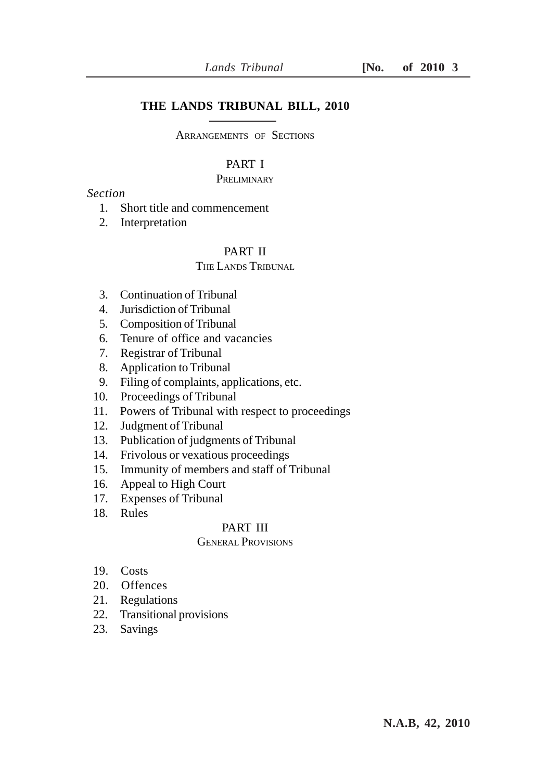## **THE LANDS TRIBUNAL BILL, 2010**

ARRANGEMENTS OF SECTIONS

## PART I

#### **PRELIMINARY**

# *Section*

- 1. Short title and commencement
- 2. Interpretation

# PART II

# THE LANDS TRIBUNAL

- 3. Continuation of Tribunal
- 4. Jurisdiction of Tribunal
- 5. Composition of Tribunal
- 6. Tenure of office and vacancies
- 7. Registrar of Tribunal
- 8. Application to Tribunal
- 9. Filing of complaints, applications, etc.
- 10. Proceedings of Tribunal
- 11. Powers of Tribunal with respect to proceedings
- 12. Judgment of Tribunal
- 13. Publication of judgments of Tribunal
- 14. Frivolous or vexatious proceedings
- 15. Immunity of members and staff of Tribunal
- 16. Appeal to High Court
- 17. Expenses of Tribunal
- 18. Rules

### PART III

### GENERAL PROVISIONS

- 19. Costs
- 20. Offences
- 21. Regulations
- 22. Transitional provisions
- 23. Savings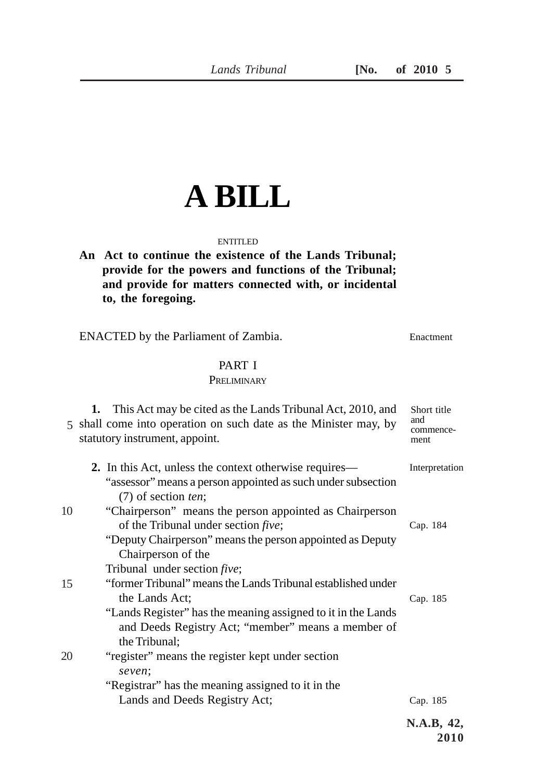# **A BILL**

### ENTITLED

**An Act to continue the existence of the Lands Tribunal; provide for the powers and functions of the Tribunal; and provide for matters connected with, or incidental to, the foregoing.**

ENACTED by the Parliament of Zambia.

Enactment

### PART I **PRELIMINARY**

|    | This Act may be cited as the Lands Tribunal Act, 2010, and<br>1.<br>5 shall come into operation on such date as the Minister may, by<br>statutory instrument, appoint. | Short title<br>and<br>commence- |
|----|------------------------------------------------------------------------------------------------------------------------------------------------------------------------|---------------------------------|
|    |                                                                                                                                                                        | ment                            |
|    | 2. In this Act, unless the context otherwise requires—                                                                                                                 | Interpretation                  |
|    | "assessor" means a person appointed as such under subsection<br>$(7)$ of section ten;                                                                                  |                                 |
| 10 | "Chairperson" means the person appointed as Chairperson                                                                                                                |                                 |
|    | of the Tribunal under section <i>five</i> ;                                                                                                                            | Cap. 184                        |
|    | "Deputy Chairperson" means the person appointed as Deputy                                                                                                              |                                 |
|    | Chairperson of the                                                                                                                                                     |                                 |
|    | Tribunal under section <i>five</i> ;                                                                                                                                   |                                 |
| 15 | "former Tribunal" means the Lands Tribunal established under                                                                                                           |                                 |
|    | the Lands Act;                                                                                                                                                         | Cap. 185                        |
|    | "Lands Register" has the meaning assigned to it in the Lands                                                                                                           |                                 |
|    | and Deeds Registry Act; "member" means a member of<br>the Tribunal;                                                                                                    |                                 |
| 20 | "register" means the register kept under section                                                                                                                       |                                 |
|    | seven;                                                                                                                                                                 |                                 |
|    | "Registrar" has the meaning assigned to it in the                                                                                                                      |                                 |
|    | Lands and Deeds Registry Act;                                                                                                                                          | Cap. 185                        |
|    |                                                                                                                                                                        | N.A.B, 42,<br>2010              |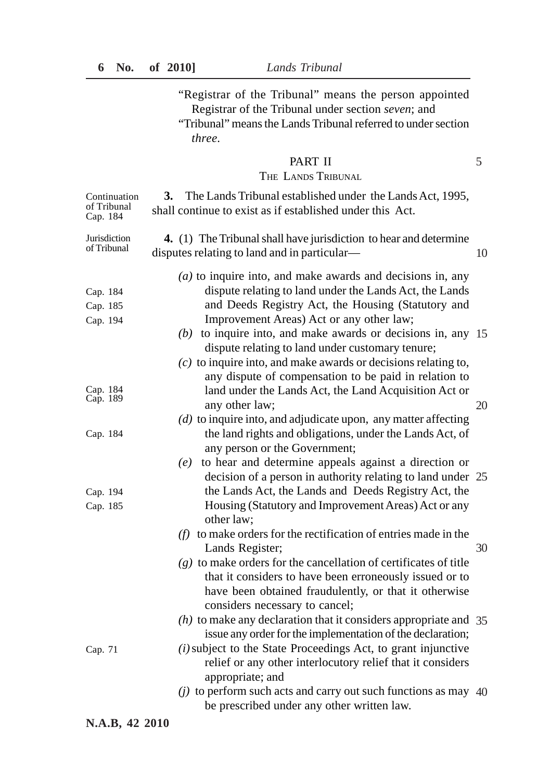"Registrar of the Tribunal" means the person appointed Registrar of the Tribunal under section *seven*; and "Tribunal" means the Lands Tribunal referred to under section *three.*

5

## PART II

### THE LANDS TRIBUNAL

| Continuation<br>of Tribunal<br>Cap. 184 | The Lands Tribunal established under the Lands Act, 1995,<br>3.<br>shall continue to exist as if established under this Act.                                                                                                                                                                                                                                 |    |
|-----------------------------------------|--------------------------------------------------------------------------------------------------------------------------------------------------------------------------------------------------------------------------------------------------------------------------------------------------------------------------------------------------------------|----|
| Jurisdiction<br>of Tribunal             | 4. (1) The Tribunal shall have jurisdiction to hear and determine<br>disputes relating to land and in particular—                                                                                                                                                                                                                                            | 10 |
| Cap. 184<br>Cap. 185<br>Cap. 194        | $(a)$ to inquire into, and make awards and decisions in, any<br>dispute relating to land under the Lands Act, the Lands<br>and Deeds Registry Act, the Housing (Statutory and<br>Improvement Areas) Act or any other law;<br>$(b)$ to inquire into, and make awards or decisions in, any 15<br>dispute relating to land under customary tenure;              |    |
| Cap. 184<br>Cap. 189<br>Cap. 184        | $(c)$ to inquire into, and make awards or decisions relating to,<br>any dispute of compensation to be paid in relation to<br>land under the Lands Act, the Land Acquisition Act or<br>any other law;<br>$(d)$ to inquire into, and adjudicate upon, any matter affecting<br>the land rights and obligations, under the Lands Act, of                         | 20 |
| Cap. 194<br>Cap. 185                    | any person or the Government;<br>to hear and determine appeals against a direction or<br>(e)<br>decision of a person in authority relating to land under 25<br>the Lands Act, the Lands and Deeds Registry Act, the<br>Housing (Statutory and Improvement Areas) Act or any                                                                                  |    |
|                                         | other law;<br>$(f)$ to make orders for the rectification of entries made in the<br>Lands Register;<br>$(g)$ to make orders for the cancellation of certificates of title<br>that it considers to have been erroneously issued or to                                                                                                                          | 30 |
| Cap. 71                                 | have been obtained fraudulently, or that it otherwise<br>considers necessary to cancel;<br>$(h)$ to make any declaration that it considers appropriate and 35<br>issue any order for the implementation of the declaration;<br>$(i)$ subject to the State Proceedings Act, to grant injunctive<br>relief or any other interlocutory relief that it considers |    |
|                                         | appropriate; and<br>$(j)$ to perform such acts and carry out such functions as may 40<br>be prescribed under any other written law.                                                                                                                                                                                                                          |    |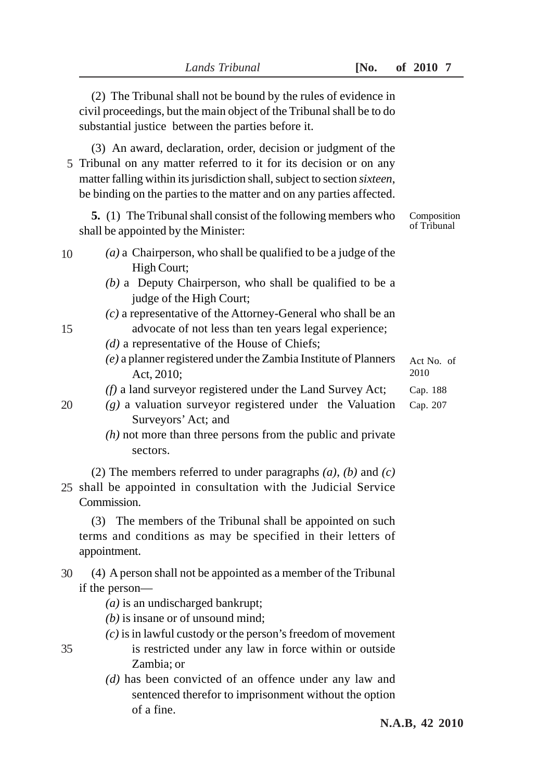| (2) The Tribunal shall not be bound by the rules of evidence in<br>civil proceedings, but the main object of the Tribunal shall be to do<br>substantial justice between the parties before it.                                                                                           |                            |
|------------------------------------------------------------------------------------------------------------------------------------------------------------------------------------------------------------------------------------------------------------------------------------------|----------------------------|
| (3) An award, declaration, order, decision or judgment of the<br>5 Tribunal on any matter referred to it for its decision or on any<br>matter falling within its jurisdiction shall, subject to section sixteen,<br>be binding on the parties to the matter and on any parties affected. |                            |
| <b>5.</b> (1) The Tribunal shall consist of the following members who<br>shall be appointed by the Minister:                                                                                                                                                                             | Composition<br>of Tribunal |
| (a) a Chairperson, who shall be qualified to be a judge of the<br>10<br>High Court;<br>$(b)$ a Deputy Chairperson, who shall be qualified to be a<br>judge of the High Court;                                                                                                            |                            |
| $(c)$ a representative of the Attorney-General who shall be an<br>advocate of not less than ten years legal experience;<br>15<br>$(d)$ a representative of the House of Chiefs;<br>$(e)$ a planner registered under the Zambia Institute of Planners                                     | Act No. of                 |
| Act, 2010;                                                                                                                                                                                                                                                                               | 2010                       |
| $(f)$ a land surveyor registered under the Land Survey Act;<br>$(g)$ a valuation surveyor registered under the Valuation<br>20<br>Surveyors' Act; and                                                                                                                                    | Cap. 188<br>Cap. 207       |
| $(h)$ not more than three persons from the public and private<br>sectors.                                                                                                                                                                                                                |                            |
| (2) The members referred to under paragraphs $(a)$ , $(b)$ and $(c)$<br>25 shall be appointed in consultation with the Judicial Service<br>Commission.                                                                                                                                   |                            |
| (3) The members of the Tribunal shall be appointed on such<br>terms and conditions as may be specified in their letters of<br>appointment.                                                                                                                                               |                            |
| (4) A person shall not be appointed as a member of the Tribunal<br>30<br>if the person—<br>$(a)$ is an undischarged bankrupt;<br>$(b)$ is insane or of unsound mind;                                                                                                                     |                            |
| $(c)$ is in lawful custody or the person's freedom of movement<br>is restricted under any law in force within or outside<br>35<br>Zambia; or                                                                                                                                             |                            |
| $(d)$ has been convicted of an offence under any law and<br>sentenced therefor to imprisonment without the option<br>of a fine.                                                                                                                                                          |                            |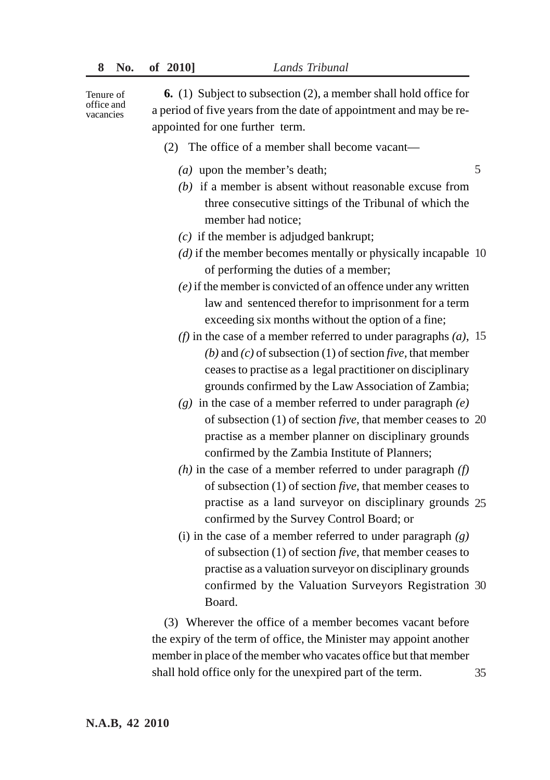Tenure of office and vacancies

**6.** (1) Subject to subsection (2), a member shall hold office for a period of five years from the date of appointment and may be reappointed for one further term.

- (2) The office of a member shall become vacant—
	- *(a)* upon the member's death;
	- *(b)* if a member is absent without reasonable excuse from three consecutive sittings of the Tribunal of which the member had notice;

5

- *(c)* if the member is adjudged bankrupt;
- *(d)* if the member becomes mentally or physically incapable 10 of performing the duties of a member;
- *(e)* if the member is convicted of an offence under any written law and sentenced therefor to imprisonment for a term exceeding six months without the option of a fine;
- *(f)* in the case of a member referred to under paragraphs *(a)*, 15 *(b)* and *(c)* of subsection (1) of section *five,* that member ceases to practise as a legal practitioner on disciplinary grounds confirmed by the Law Association of Zambia;
- *(g)* in the case of a member referred to under paragraph *(e)* of subsection (1) of section *five*, that member ceases to 20 practise as a member planner on disciplinary grounds confirmed by the Zambia Institute of Planners;
- *(h)* in the case of a member referred to under paragraph *(f)* of subsection (1) of section *five*, that member ceases to practise as a land surveyor on disciplinary grounds 25 confirmed by the Survey Control Board; or
- (i) in the case of a member referred to under paragraph *(g)* of subsection (1) of section *five*, that member ceases to practise as a valuation surveyor on disciplinary grounds confirmed by the Valuation Surveyors Registration 30 Board.

(3) Wherever the office of a member becomes vacant before the expiry of the term of office, the Minister may appoint another member in place of the member who vacates office but that member shall hold office only for the unexpired part of the term. 35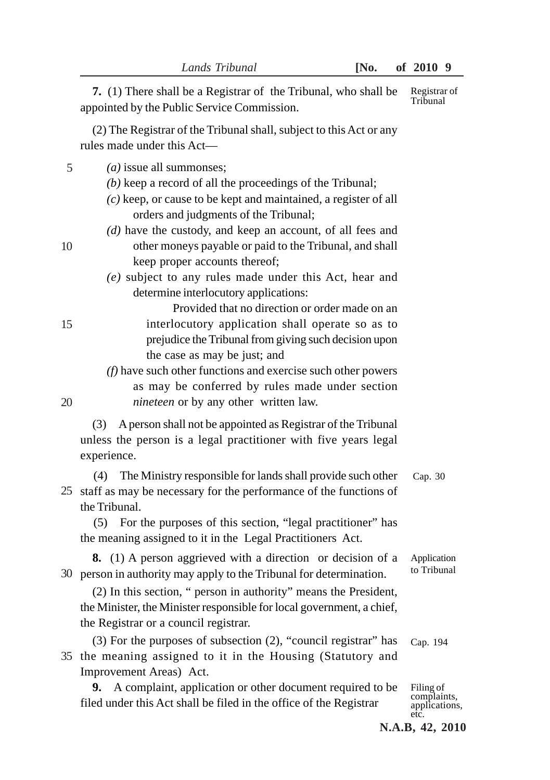**7.** (1) There shall be a Registrar of the Tribunal, who shall be appointed by the Public Service Commission. (2) The Registrar of the Tribunal shall, subject to this Act or any rules made under this Act— *(a)* issue all summonses; *(b)* keep a record of all the proceedings of the Tribunal; *(c)* keep, or cause to be kept and maintained, a register of all orders and judgments of the Tribunal; *(d)* have the custody, and keep an account, of all fees and other moneys payable or paid to the Tribunal, and shall keep proper accounts thereof; *(e)* subject to any rules made under this Act, hear and determine interlocutory applications: Provided that no direction or order made on an interlocutory application shall operate so as to prejudice the Tribunal from giving such decision upon the case as may be just; and *(f)* have such other functions and exercise such other powers as may be conferred by rules made under section *nineteen* or by any other written law. (3) A person shall not be appointed as Registrar of the Tribunal unless the person is a legal practitioner with five years legal experience. (4) The Ministry responsible for lands shall provide such other 25 staff as may be necessary for the performance of the functions of the Tribunal. (5) For the purposes of this section, "legal practitioner" has the meaning assigned to it in the Legal Practitioners Act. **8.** (1) A person aggrieved with a direction or decision of a 30 person in authority may apply to the Tribunal for determination. (2) In this section, " person in authority" means the President, the Minister, the Minister responsible for local government, a chief, the Registrar or a council registrar. (3) For the purposes of subsection (2), "council registrar" has 35 the meaning assigned to it in the Housing (Statutory and Improvement Areas) Act. **9.** A complaint, application or other document required to be Registrar of Tribunal Cap. 30 Cap. 194 Application to Tribunal Filing of 5 15

filed under this Act shall be filed in the office of the Registrar

complaints, applications, etc.

10

- 
- 

20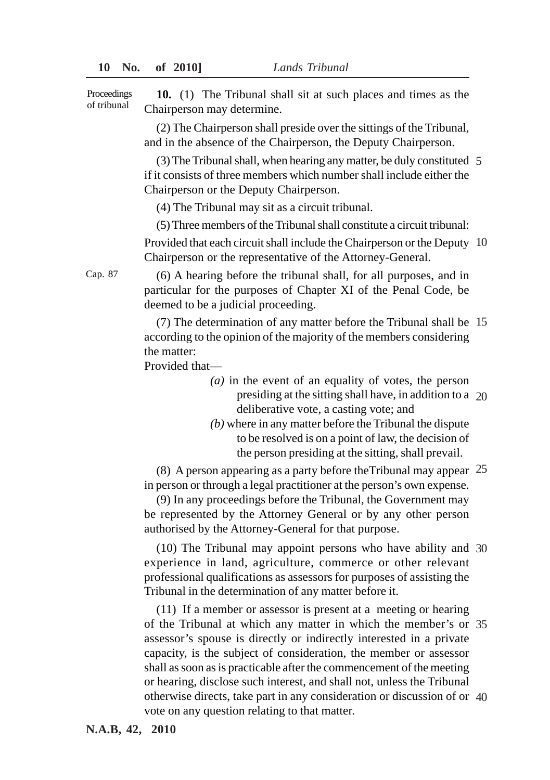**10.** (1) The Tribunal shall sit at such places and times as the Chairperson may determine. Proceedings of tribunal

> (2) The Chairperson shall preside over the sittings of the Tribunal, and in the absence of the Chairperson, the Deputy Chairperson.

(3) The Tribunal shall, when hearing any matter, be duly constituted 5 if it consists of three members which number shall include either the Chairperson or the Deputy Chairperson.

(4) The Tribunal may sit as a circuit tribunal.

(5) Three members of the Tribunal shall constitute a circuit tribunal: Provided that each circuit shall include the Chairperson or the Deputy 10 Chairperson or the representative of the Attorney-General.

(6) A hearing before the tribunal shall, for all purposes, and in particular for the purposes of Chapter XI of the Penal Code, be deemed to be a judicial proceeding.

(7) The determination of any matter before the Tribunal shall be 15 according to the opinion of the majority of the members considering the matter:

Provided that—

- *(a)* in the event of an equality of votes, the person presiding at the sitting shall have, in addition to a 20 deliberative vote, a casting vote; and
- *(b)* where in any matter before the Tribunal the dispute to be resolved is on a point of law, the decision of the person presiding at the sitting, shall prevail.

(8) A person appearing as a party before theTribunal may appear 25 in person or through a legal practitioner at the person's own expense.

(9) In any proceedings before the Tribunal, the Government may be represented by the Attorney General or by any other person authorised by the Attorney-General for that purpose.

(10) The Tribunal may appoint persons who have ability and 30 experience in land, agriculture, commerce or other relevant professional qualifications as assessors for purposes of assisting the Tribunal in the determination of any matter before it.

(11) If a member or assessor is present at a meeting or hearing of the Tribunal at which any matter in which the member's or 35 assessor's spouse is directly or indirectly interested in a private capacity, is the subject of consideration, the member or assessor shall as soon as is practicable after the commencement of the meeting or hearing, disclose such interest, and shall not, unless the Tribunal otherwise directs, take part in any consideration or discussion of or 40 vote on any question relating to that matter.

Cap. 87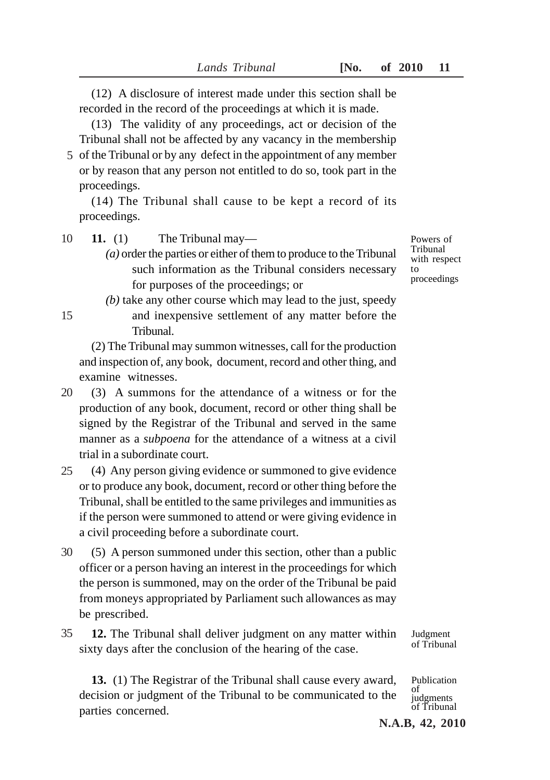(12) A disclosure of interest made under this section shall be recorded in the record of the proceedings at which it is made.

(13) The validity of any proceedings, act or decision of the Tribunal shall not be affected by any vacancy in the membership

5 of the Tribunal or by any defect in the appointment of any member or by reason that any person not entitled to do so, took part in the proceedings.

(14) The Tribunal shall cause to be kept a record of its proceedings.

**11.** (1) The Tribunal may— 10

15

- *(a)* order the parties or either of them to produce to the Tribunal such information as the Tribunal considers necessary for purposes of the proceedings; or
- *(b)* take any other course which may lead to the just, speedy and inexpensive settlement of any matter before the Tribunal.

(2) The Tribunal may summon witnesses, call for the production and inspection of, any book, document, record and other thing, and examine witnesses.

- (3) A summons for the attendance of a witness or for the production of any book, document, record or other thing shall be signed by the Registrar of the Tribunal and served in the same manner as a *subpoena* for the attendance of a witness at a civil trial in a subordinate court. 20
- (4) Any person giving evidence or summoned to give evidence or to produce any book, document, record or other thing before the Tribunal, shall be entitled to the same privileges and immunities as if the person were summoned to attend or were giving evidence in a civil proceeding before a subordinate court. 25
- (5) A person summoned under this section, other than a public officer or a person having an interest in the proceedings for which the person is summoned, may on the order of the Tribunal be paid from moneys appropriated by Parliament such allowances as may be prescribed. 30
- **12.** The Tribunal shall deliver judgment on any matter within sixty days after the conclusion of the hearing of the case. 35

**13.** (1) The Registrar of the Tribunal shall cause every award, decision or judgment of the Tribunal to be communicated to the parties concerned.

Powers of Tribunal with respect to proceedings

Judgment of Tribunal

Publication of judgments of Tribunal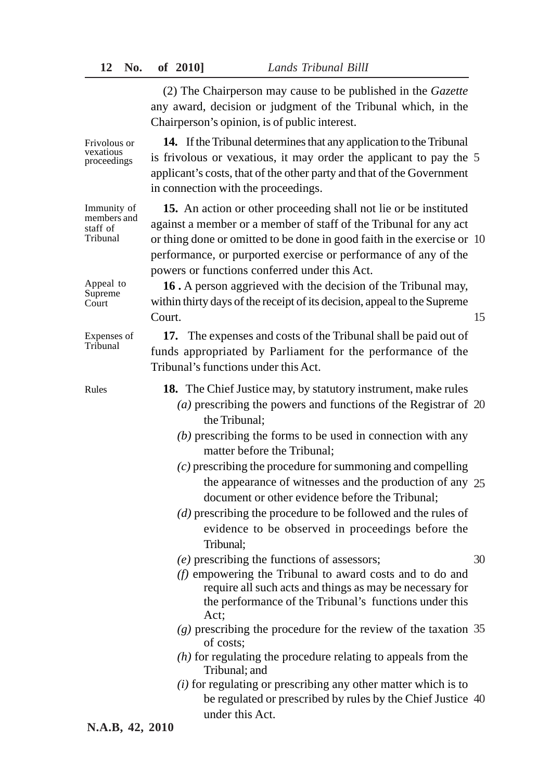Frivolous or vexatious proceedings

Immunity of members and staff of Tribunal

Appeal to Supreme Court

Expenses of Tribunal

(2) The Chairperson may cause to be published in the *Gazette* any award, decision or judgment of the Tribunal which, in the Chairperson's opinion, is of public interest.

**14.** If the Tribunal determines that any application to the Tribunal is frivolous or vexatious, it may order the applicant to pay the 5 applicant's costs, that of the other party and that of the Government in connection with the proceedings.

**15.** An action or other proceeding shall not lie or be instituted against a member or a member of staff of the Tribunal for any act or thing done or omitted to be done in good faith in the exercise or 10 performance, or purported exercise or performance of any of the powers or functions conferred under this Act.

**16 .** A person aggrieved with the decision of the Tribunal may, within thirty days of the receipt of its decision, appeal to the Supreme Court.

15

**17.** The expenses and costs of the Tribunal shall be paid out of funds appropriated by Parliament for the performance of the Tribunal's functions under this Act.

Rules

**18.** The Chief Justice may, by statutory instrument, make rules

- *(a)* prescribing the powers and functions of the Registrar of 20 the Tribunal;
- *(b)* prescribing the forms to be used in connection with any matter before the Tribunal;
- *(c)* prescribing the procedure for summoning and compelling the appearance of witnesses and the production of any 25 document or other evidence before the Tribunal;
- *(d)* prescribing the procedure to be followed and the rules of evidence to be observed in proceedings before the Tribunal;
- *(e)* prescribing the functions of assessors;

30

- *(f)* empowering the Tribunal to award costs and to do and require all such acts and things as may be necessary for the performance of the Tribunal's functions under this Act;
- *(g)* prescribing the procedure for the review of the taxation 35 of costs;
- *(h)* for regulating the procedure relating to appeals from the Tribunal; and
- *(i)* for regulating or prescribing any other matter which is to be regulated or prescribed by rules by the Chief Justice 40 under this Act.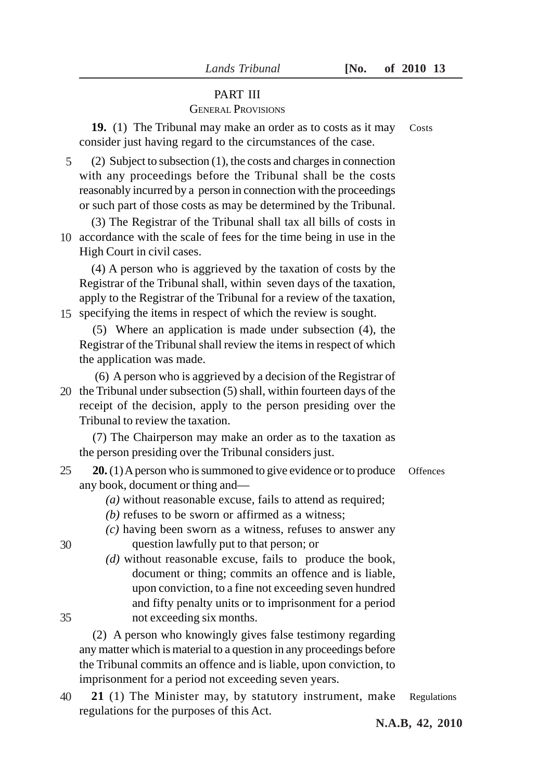### *Lands Tribunal* **[No. of 2010 13**

## PART III

# GENERAL PROVISIONS

**19.** (1) The Tribunal may make an order as to costs as it may consider just having regard to the circumstances of the case. Costs

(2) Subject to subsection (1), the costs and charges in connection with any proceedings before the Tribunal shall be the costs reasonably incurred by a person in connection with the proceedings or such part of those costs as may be determined by the Tribunal. 5

(3) The Registrar of the Tribunal shall tax all bills of costs in 10 accordance with the scale of fees for the time being in use in the High Court in civil cases.

(4) A person who is aggrieved by the taxation of costs by the Registrar of the Tribunal shall, within seven days of the taxation, apply to the Registrar of the Tribunal for a review of the taxation, specifying the items in respect of which the review is sought. 15

(5) Where an application is made under subsection (4), the Registrar of the Tribunal shall review the items in respect of which the application was made.

 (6) A person who is aggrieved by a decision of the Registrar of 20 the Tribunal under subsection (5) shall, within fourteen days of the receipt of the decision, apply to the person presiding over the Tribunal to review the taxation.

(7) The Chairperson may make an order as to the taxation as the person presiding over the Tribunal considers just.

- **20.** (1) A person who is summoned to give evidence or to produce any book, document or thing and— 25
	- *(a)* without reasonable excuse, fails to attend as required;
	- *(b)* refuses to be sworn or affirmed as a witness;
	- *(c)* having been sworn as a witness, refuses to answer any

question lawfully put to that person; or

30

35

*(d)* without reasonable excuse, fails to produce the book, document or thing; commits an offence and is liable, upon conviction, to a fine not exceeding seven hundred and fifty penalty units or to imprisonment for a period not exceeding six months.

(2) A person who knowingly gives false testimony regarding any matter which is material to a question in any proceedings before the Tribunal commits an offence and is liable, upon conviction, to imprisonment for a period not exceeding seven years.

40 **21** (1) The Minister may, by statutory instrument, make Regulations regulations for the purposes of this Act.

**Offences**